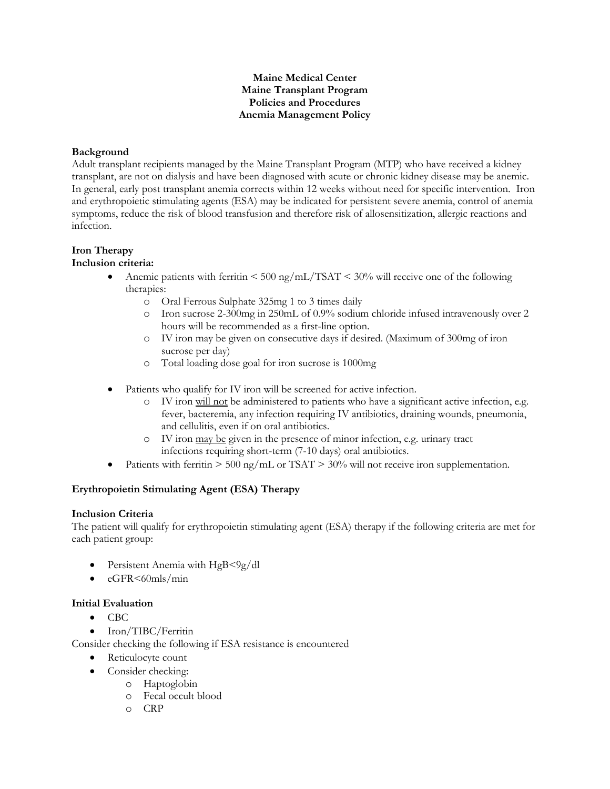# **Maine Medical Center Maine Transplant Program Policies and Procedures Anemia Management Policy**

### **Background**

Adult transplant recipients managed by the Maine Transplant Program (MTP) who have received a kidney transplant, are not on dialysis and have been diagnosed with acute or chronic kidney disease may be anemic. In general, early post transplant anemia corrects within 12 weeks without need for specific intervention. Iron and erythropoietic stimulating agents (ESA) may be indicated for persistent severe anemia, control of anemia symptoms, reduce the risk of blood transfusion and therefore risk of allosensitization, allergic reactions and infection.

# **Iron Therapy**

### **Inclusion criteria:**

- Anemic patients with ferritin  $\leq 500 \text{ ng/mL}/\text{TSAT} \leq 30\%$  will receive one of the following therapies:
	- o Oral Ferrous Sulphate 325mg 1 to 3 times daily
	- o Iron sucrose 2-300mg in 250mL of 0.9% sodium chloride infused intravenously over 2 hours will be recommended as a first-line option.
	- o IV iron may be given on consecutive days if desired. (Maximum of 300mg of iron sucrose per day)
	- o Total loading dose goal for iron sucrose is 1000mg
- Patients who qualify for IV iron will be screened for active infection.
	- o IV iron will not be administered to patients who have a significant active infection, e.g. fever, bacteremia, any infection requiring IV antibiotics, draining wounds, pneumonia, and cellulitis, even if on oral antibiotics.
	- o IV iron may be given in the presence of minor infection, e.g. urinary tract infections requiring short-term (7-10 days) oral antibiotics.
- Patients with ferritin  $> 500 \text{ ng/mL}$  or TSAT  $> 30\%$  will not receive iron supplementation.

# **Erythropoietin Stimulating Agent (ESA) Therapy**

#### **Inclusion Criteria**

The patient will qualify for erythropoietin stimulating agent (ESA) therapy if the following criteria are met for each patient group:

- Persistent Anemia with HgB<9g/dl
- $\bullet$  eGFR $\leq 60$ mls/min

# **Initial Evaluation**

- $\bullet$  CBC
- Iron/TIBC/Ferritin

Consider checking the following if ESA resistance is encountered

- Reticulocyte count
	- Consider checking:
		- o Haptoglobin
			- o Fecal occult blood
			- o CRP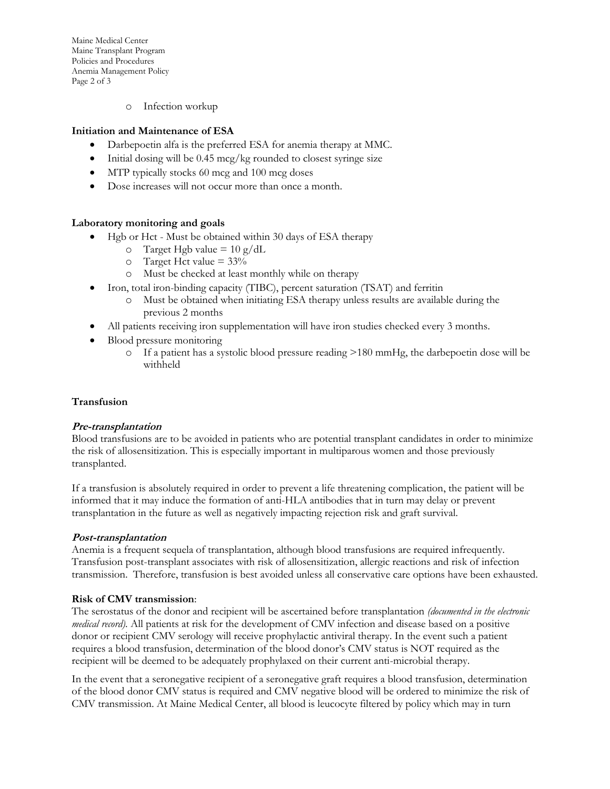Maine Medical Center Maine Transplant Program Policies and Procedures Anemia Management Policy Page 2 of 3

o Infection workup

# **Initiation and Maintenance of ESA**

- Darbepoetin alfa is the preferred ESA for anemia therapy at MMC.
- Initial dosing will be 0.45 mcg/kg rounded to closest syringe size
- MTP typically stocks 60 mcg and 100 mcg doses
- Dose increases will not occur more than once a month.

### **Laboratory monitoring and goals**

- Hgb or Hct Must be obtained within 30 days of ESA therapy
	- $\sigma$  Target Hgb value = 10 g/dL
	- $\circ$  Target Hct value = 33%
	- o Must be checked at least monthly while on therapy
- Iron, total iron-binding capacity (TIBC), percent saturation (TSAT) and ferritin
	- o Must be obtained when initiating ESA therapy unless results are available during the previous 2 months
- All patients receiving iron supplementation will have iron studies checked every 3 months.
- Blood pressure monitoring
	- $\circ$  If a patient has a systolic blood pressure reading  $>180$  mmHg, the darbepoetin dose will be withheld

#### **Transfusion**

#### **Pre-transplantation**

Blood transfusions are to be avoided in patients who are potential transplant candidates in order to minimize the risk of allosensitization. This is especially important in multiparous women and those previously transplanted.

If a transfusion is absolutely required in order to prevent a life threatening complication, the patient will be informed that it may induce the formation of anti-HLA antibodies that in turn may delay or prevent transplantation in the future as well as negatively impacting rejection risk and graft survival.

#### **Post-transplantation**

Anemia is a frequent sequela of transplantation, although blood transfusions are required infrequently. Transfusion post-transplant associates with risk of allosensitization, allergic reactions and risk of infection transmission. Therefore, transfusion is best avoided unless all conservative care options have been exhausted.

#### **Risk of CMV transmission**:

The serostatus of the donor and recipient will be ascertained before transplantation *(documented in the electronic medical record).* All patients at risk for the development of CMV infection and disease based on a positive donor or recipient CMV serology will receive prophylactic antiviral therapy. In the event such a patient requires a blood transfusion, determination of the blood donor's CMV status is NOT required as the recipient will be deemed to be adequately prophylaxed on their current anti-microbial therapy.

In the event that a seronegative recipient of a seronegative graft requires a blood transfusion, determination of the blood donor CMV status is required and CMV negative blood will be ordered to minimize the risk of CMV transmission. At Maine Medical Center, all blood is leucocyte filtered by policy which may in turn